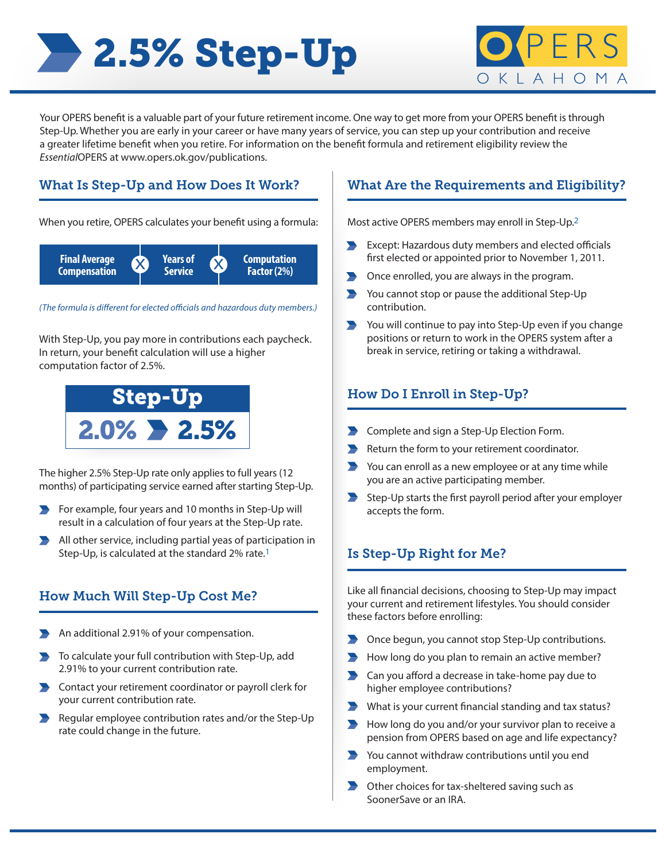# **2.5% Step-Up CPE**



Your OPERS benefit is a valuable part of your future retirement income. One way to get more from your OPERS benefit is through Step-Up. Whether you are early in your career or have many years of service, you can step up your contribution and receive a greater lifetime benefit when you retire. For information on the benefit formula and retirement eligibility review the *Essential*OPERS at www.opers.ok.gov/publications.

## What Is Step-Up and How Does It Work?

When you retire, OPERS calculates your benefit using a formula:



*(The formula is different for elected officials and hazardous duty members.)*

With Step-Up, you pay more in contributions each paycheck. In return, your benefit calculation will use a higher computation factor of 2.5%.



The higher 2.5% Step-Up rate only applies to full years (12 months) of participating service earned after starting Step-Up.

- $\blacktriangleright$  For example, four years and 10 months in Step-Up will result in a calculation of four years at the Step-Up rate.
- All other service, including partial yeas of participation in Step-Up, is calculated at the standard 2% rate.1

# How Much Will Step-Up Cost Me?

- An additional 2.91% of your compensation.
- To calculate your full contribution with Step-Up, add 2.91% to your current contribution rate.
- Contact your retirement coordinator or payroll clerk for your current contribution rate.
- Regular employee contribution rates and/or the Step-Up  $\blacksquare$ rate could change in the future.

### What Are the Requirements and Eligibility?

Most active OPERS members may enroll in Step-Up.2

- **Except: Hazardous duty members and elected officials** first elected or appointed prior to November 1, 2011.
- **•** Once enrolled, you are always in the program.
- You cannot stop or pause the additional Step-Up contribution.
- **••** You will continue to pay into Step-Up even if you change positions or return to work in the OPERS system after a break in service, retiring or taking a withdrawal.

## How Do I Enroll in Step-Up?

- **Complete and sign a Step-Up Election Form.**
- Return the form to your retirement coordinator.
- You can enroll as a new employee or at any time while you are an active participating member.
- **•** Step-Up starts the first payroll period after your employer accepts the form.

# Is Step-Up Right for Me?

Like all financial decisions, choosing to Step-Up may impact your current and retirement lifestyles. You should consider these factors before enrolling:

- Once begun, you cannot stop Step-Up contributions.
- How long do you plan to remain an active member?
- Can you afford a decrease in take-home pay due to higher employee contributions?
- What is your current financial standing and tax status?
- **How long do you and/or your survivor plan to receive a** pension from OPERS based on age and life expectancy?
- **••** You cannot withdraw contributions until you end employment.
- **•** Other choices for tax-sheltered saving such as SoonerSave or an IRA.